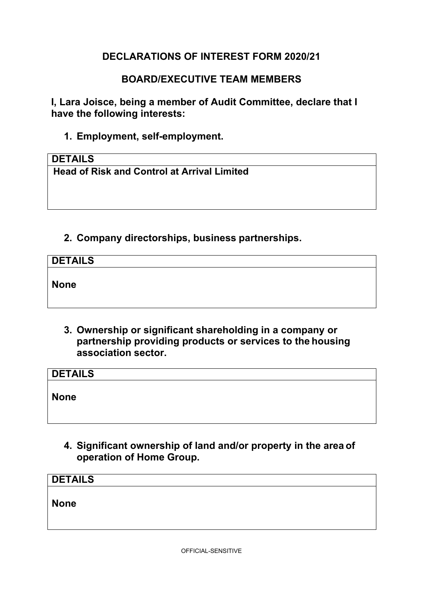# **DECLARATIONS OF INTEREST FORM 2020/21**

### **BOARD/EXECUTIVE TEAM MEMBERS**

**I, Lara Joisce, being a member of Audit Committee, declare that I have the following interests:** 

**1. Employment, self-employment.** 

#### **DETAILS**

**Head of Risk and Control at Arrival Limited** 

### **2. Company directorships, business partnerships.**

| <b>DETAILS</b> |  |  |
|----------------|--|--|
| <b>None</b>    |  |  |

 **association sector. 3. Ownership or significant shareholding in a company or partnership providing products or services to the housing**

| <b>DETAILS</b> |  |  |
|----------------|--|--|
| <b>None</b>    |  |  |

 **operation of Home Group. 4. Significant ownership of land and/or property in the area of** 

| <b>DETAILS</b> |  |  |
|----------------|--|--|
| <b>None</b>    |  |  |
|                |  |  |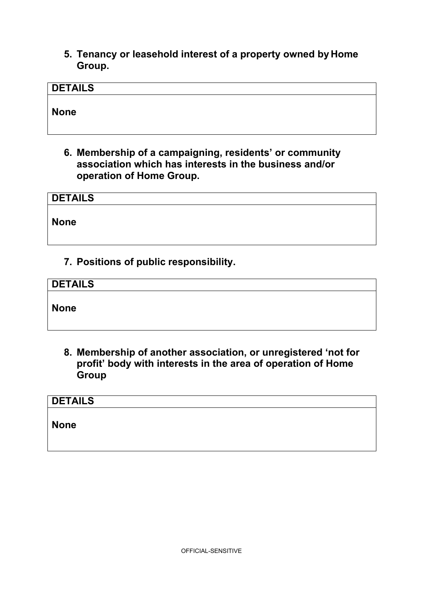**5. Tenancy or leasehold interest of a property owned by Home Group.** 

| <b>DETAILS</b> |  |  |  |
|----------------|--|--|--|
| <b>None</b>    |  |  |  |

 **operation of Home Group. 6. Membership of a campaigning, residents' or community association which has interests in the business and/or**

| <b>DETAILS</b> |  |  |  |
|----------------|--|--|--|
| None           |  |  |  |
|                |  |  |  |

**7. Positions of public responsibility.** 

| <b>DETAILS</b> |  |  |
|----------------|--|--|
|                |  |  |
| <b>None</b>    |  |  |

**8. Membership of another association, or unregistered 'not for profit' body with interests in the area of operation of Home Group** 

| <b>DETAILS</b> |  |  |  |
|----------------|--|--|--|
| <b>None</b>    |  |  |  |